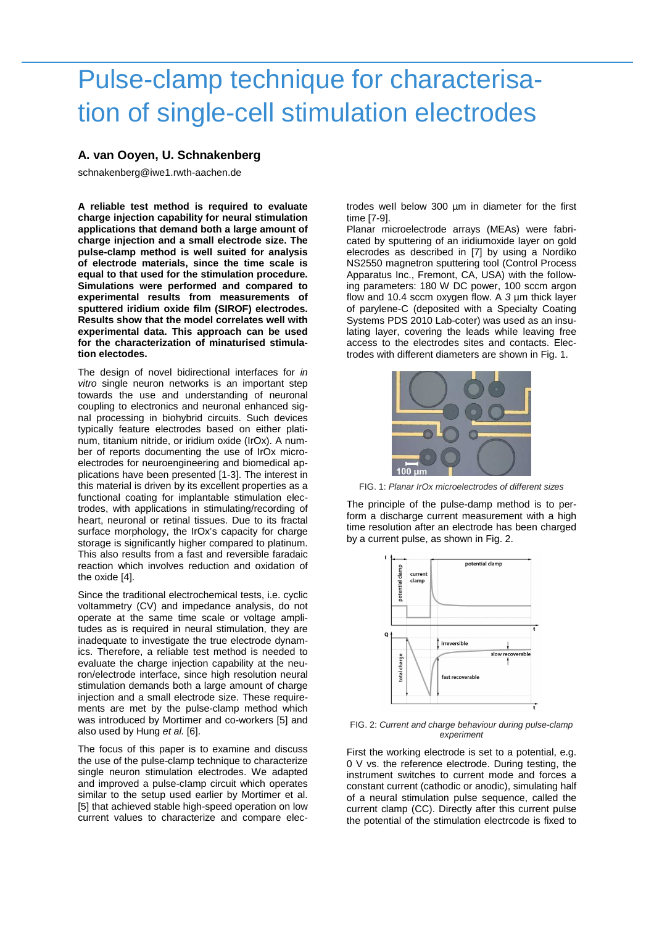## Pulse-clamp technique for characterisation of single-cell stimulation electrodes

## **A. van Ooyen, U. Schnakenberg**

schnakenberg@iwe1.rwth-aachen.de

**A reliable test method is required to evaluate charge injection capability for neural stimulation applications that demand both a large amount of charge injection and a small electrode size. The pulse-clamp method is well suited for analysis of electrode materials, since the time scale is equal to that used for the stimulation procedure. Simulations were performed and compared to experimental results from measurements of sputtered iridium oxide film (SIROF) electrodes. Results show that the model correlates well with experimental data. This approach can be used for the characterization of minaturised stimulation electodes.** 

The design of novel bidirectional interfaces for in vitro single neuron networks is an important step towards the use and understanding of neuronal coupling to electronics and neuronal enhanced signal processing in biohybrid circuits. Such devices typically feature electrodes based on either platinum, titanium nitride, or iridium oxide (IrOx). A number of reports documenting the use of IrOx microelectrodes for neuroengineering and biomedical applications have been presented [1-3]. The interest in this material is driven by its excellent properties as a functional coating for implantable stimulation electrodes, with applications in stimulating/recording of heart, neuronal or retinal tissues. Due to its fractal surface morphology, the IrOx's capacity for charge storage is significantly higher compared to platinum. This also results from a fast and reversible faradaic reaction which involves reduction and oxidation of the oxide [4].

Since the traditional electrochemical tests, i.e. cyclic voltammetry (CV) and impedance analysis, do not operate at the same time scale or voltage amplitudes as is required in neural stimulation, they are inadequate to investigate the true electrode dynamics. Therefore, a reliable test method is needed to evaluate the charge injection capability at the neuron/electrode interface, since high resolution neural stimulation demands both a large amount of charge injection and a small electrode size. These requirements are met by the pulse-clamp method which was introduced by Mortimer and co-workers [5] and also used by Hung et al. [6].

The focus of this paper is to examine and discuss the use of the pulse-clamp technique to characterize single neuron stimulation electrodes. We adapted and improved a pulse-cIamp circuit which operates similar to the setup used earlier by Mortimer et al. [5] that achieved stable high-speed operation on low current values to characterize and compare electrodes weIl below 300 µm in diameter for the first time [7-9].

Planar microelectrode arrays (MEAs) were fabricated by sputtering of an iridiumoxide layer on gold elecrodes as described in [7] by using a Nordiko NS2550 magnetron sputtering tool (Control Process Apparatus Inc., Fremont, CA, USA) with the foIlowing parameters: 180 W DC power, 100 sccm argon flow and 10.4 sccm oxygen flow. A 3 µm thick layer of parylene-C (deposited with a Specialty Coating Systems PDS 2010 Lab-coter) was used as an insulating layer, covering the leads while leaving free access to the electrodes sites and contacts. Electrodes with different diameters are shown in Fig. 1.



FIG. 1: Planar IrOx microelectrodes of different sizes

The principle of the pulse-damp method is to perform a discharge current measurement with a high time resolution after an electrode has been charged by a current pulse, as shown in Fig. 2.



FIG. 2: Current and charge behaviour during pulse-clamp experiment

First the working electrode is set to a potential, e.g. 0 V vs. the reference electrode. During testing, the instrument switches to current mode and forces a constant current (cathodic or anodic), simulating half of a neural stimulation pulse sequence, called the current clamp (CC). Directly after this current pulse the potential of the stimulation electrcode is fixed to